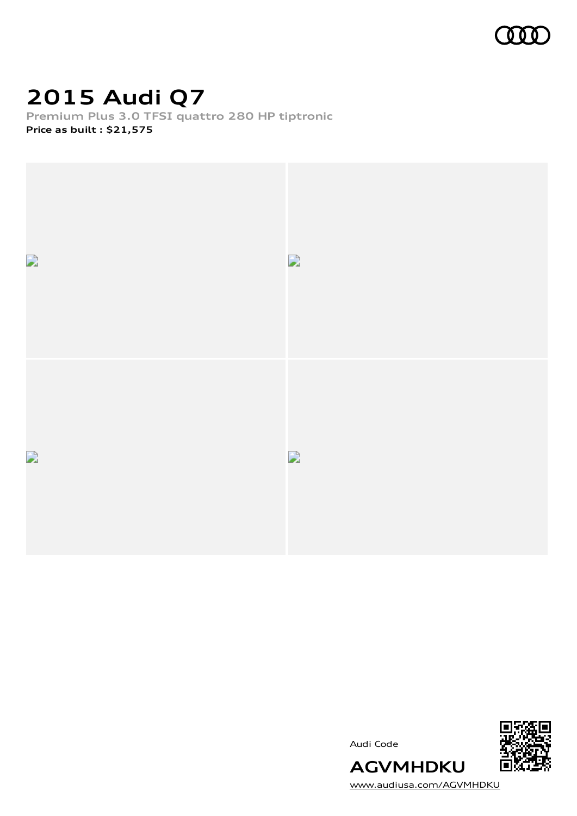

### **2015 Audi Q7**

**Premium Plus 3.0 TFSI quattro 280 HP tiptronic Price as built [:](#page-10-0) \$21,575**



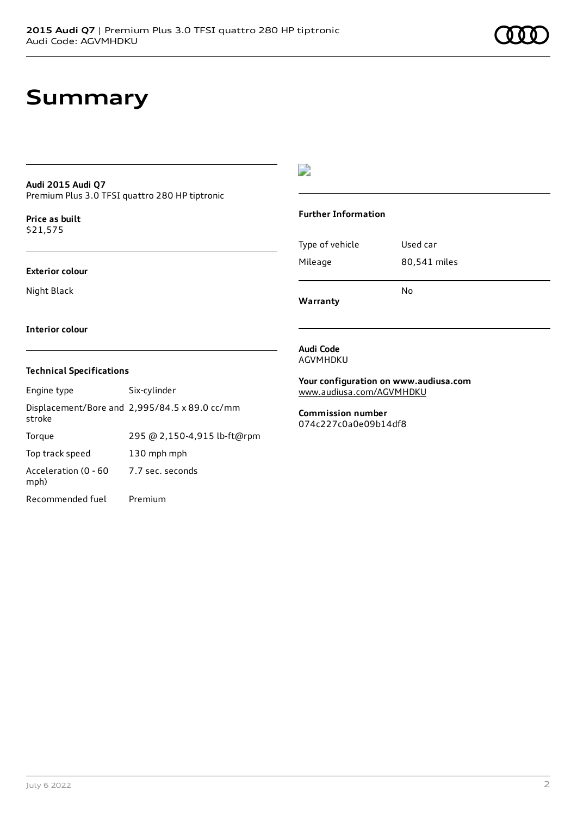### **Summary**

#### **Audi 2015 Audi Q7** Premium Plus 3.0 TFSI quattro 280 HP tiptronic

**Price as buil[t](#page-10-0)** \$21,575

#### **Exterior colour**

Night Black

### $\overline{\phantom{a}}$

#### **Further Information**

| Warranty        |              |
|-----------------|--------------|
|                 | N٥           |
| Mileage         | 80,541 miles |
| Type of vehicle | Used car     |
|                 |              |

**Interior colour**

#### **Technical Specifications**

| Engine type                  | Six-cylinder                                  |
|------------------------------|-----------------------------------------------|
| stroke                       | Displacement/Bore and 2,995/84.5 x 89.0 cc/mm |
| Torque                       | 295 @ 2,150-4,915 lb-ft@rpm                   |
| Top track speed              | 130 mph mph                                   |
| Acceleration (0 - 60<br>mph) | 7.7 sec. seconds                              |
| Recommended fuel             | Premium                                       |

#### **Audi Code** AGVMHDKU

**Your configuration on www.audiusa.com** [www.audiusa.com/AGVMHDKU](https://www.audiusa.com/AGVMHDKU)

#### **Commission number** 074c227c0a0e09b14df8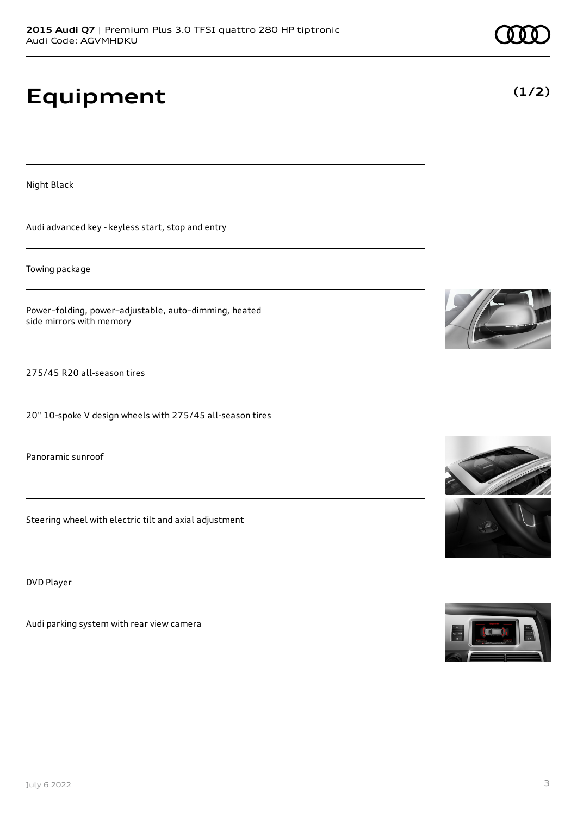# **Equipment**

Night Black

Audi advanced key - keyless start, stop and entry

Towing package

Power–folding, power–adjustable, auto–dimming, heated side mirrors with memory

275/45 R20 all-season tires

20" 10-spoke V design wheels with 275/45 all-season tires

Panoramic sunroof

Steering wheel with electric tilt and axial adjustment

DVD Player

Audi parking system with rear view camera









**(1/2)**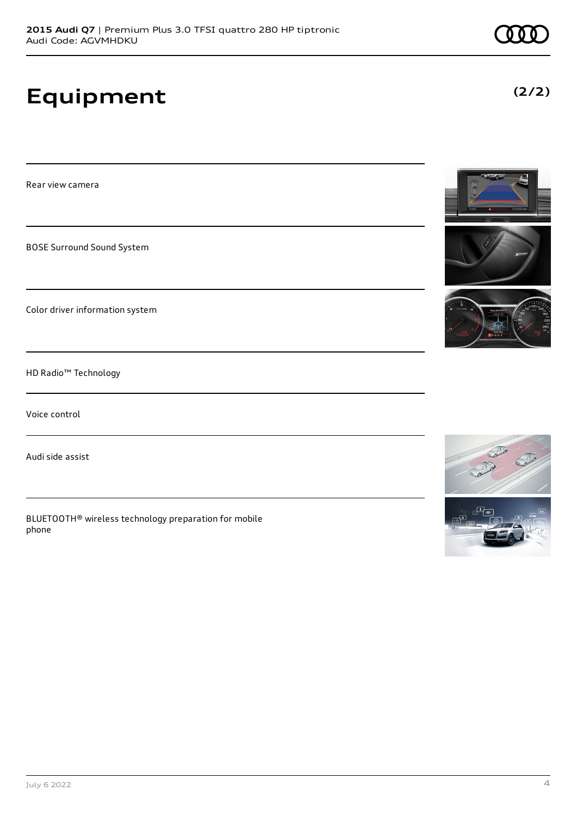# **Equipment**

Rear view camera

BOSE Surround Sound System

Color driver information system

HD Radio™ Technology

Voice control

Audi side assist

BLUETOOTH® wireless technology preparation for mobile phone









**(2/2)**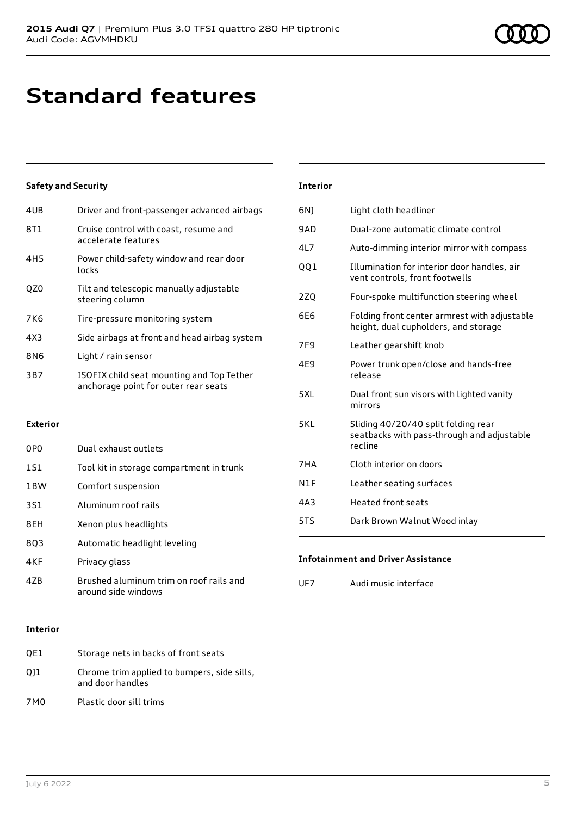### **Standard features**

#### **Safety and Security**

| 4UB             | Driver and front-passenger advanced airbags                                       |
|-----------------|-----------------------------------------------------------------------------------|
| 8T 1            | Cruise control with coast, resume and<br>accelerate features                      |
| 4H <sub>5</sub> | Power child-safety window and rear door<br>locks                                  |
| QZ0             | Tilt and telescopic manually adjustable<br>steering column                        |
| 7K6             | Tire-pressure monitoring system                                                   |
| 4X3             | Side airbags at front and head airbag system                                      |
| 8N6             | Light / rain sensor                                                               |
| 3B7             | ISOFIX child seat mounting and Top Tether<br>anchorage point for outer rear seats |
|                 |                                                                                   |

#### **Exterior**

| 0PO             | Dual exhaust outlets                                           |
|-----------------|----------------------------------------------------------------|
| 1S1             | Tool kit in storage compartment in trunk                       |
| 1 <sub>BW</sub> | Comfort suspension                                             |
| 3S1             | Aluminum roof rails                                            |
| 8EH             | Xenon plus headlights                                          |
| 803             | Automatic headlight leveling                                   |
| 4KF             | Privacy glass                                                  |
| 47R             | Brushed aluminum trim on roof rails and<br>around side windows |

#### **Interior**

| OE1 | Storage nets in backs of front seats                            |
|-----|-----------------------------------------------------------------|
| 011 | Chrome trim applied to bumpers, side sills,<br>and door handles |
| 7M0 | Plastic door sill trims                                         |

#### **Interior**

| 6N) | Light cloth headliner                                                                        |
|-----|----------------------------------------------------------------------------------------------|
| 9AD | Dual-zone automatic climate control                                                          |
| 4L7 | Auto-dimming interior mirror with compass                                                    |
| 001 | Illumination for interior door handles, air<br>vent controls, front footwells                |
| 2ZQ | Four-spoke multifunction steering wheel                                                      |
| 6F6 | Folding front center armrest with adjustable<br>height, dual cupholders, and storage         |
| 7F9 | Leather gearshift knob                                                                       |
| 4E9 | Power trunk open/close and hands-free<br>release                                             |
| 5XL | Dual front sun visors with lighted vanity<br>mirrors                                         |
| 5KL | Sliding 40/20/40 split folding rear<br>seatbacks with pass-through and adjustable<br>recline |
| 7HA | Cloth interior on doors                                                                      |
| N1F | Leather seating surfaces                                                                     |
| 4A3 | <b>Heated front seats</b>                                                                    |
| 5TS | Dark Brown Walnut Wood inlay                                                                 |

#### **Infotainment and Driver Assistance**

UF7 Audi music interface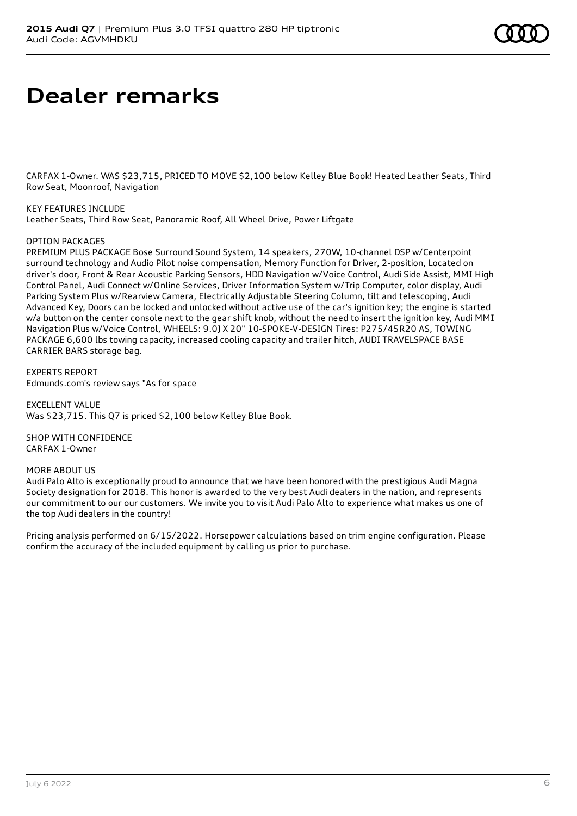### **Dealer remarks**

CARFAX 1-Owner. WAS \$23,715, PRICED TO MOVE \$2,100 below Kelley Blue Book! Heated Leather Seats, Third Row Seat, Moonroof, Navigation

KEY FEATURES INCLUDE Leather Seats, Third Row Seat, Panoramic Roof, All Wheel Drive, Power Liftgate

#### OPTION PACKAGES

PREMIUM PLUS PACKAGE Bose Surround Sound System, 14 speakers, 270W, 10-channel DSP w/Centerpoint surround technology and Audio Pilot noise compensation, Memory Function for Driver, 2-position, Located on driver's door, Front & Rear Acoustic Parking Sensors, HDD Navigation w/Voice Control, Audi Side Assist, MMI High Control Panel, Audi Connect w/Online Services, Driver Information System w/Trip Computer, color display, Audi Parking System Plus w/Rearview Camera, Electrically Adjustable Steering Column, tilt and telescoping, Audi Advanced Key, Doors can be locked and unlocked without active use of the car's ignition key; the engine is started w/a button on the center console next to the gear shift knob, without the need to insert the ignition key, Audi MMI Navigation Plus w/Voice Control, WHEELS: 9.0J X 20" 10-SPOKE-V-DESIGN Tires: P275/45R20 AS, TOWING PACKAGE 6,600 lbs towing capacity, increased cooling capacity and trailer hitch, AUDI TRAVELSPACE BASE CARRIER BARS storage bag.

EXPERTS REPORT Edmunds.com's review says "As for space

EXCELLENT VALUE Was \$23,715. This Q7 is priced \$2,100 below Kelley Blue Book.

SHOP WITH CONFIDENCE CARFAX 1-Owner

#### MORE ABOUT US

Audi Palo Alto is exceptionally proud to announce that we have been honored with the prestigious Audi Magna Society designation for 2018. This honor is awarded to the very best Audi dealers in the nation, and represents our commitment to our our customers. We invite you to visit Audi Palo Alto to experience what makes us one of the top Audi dealers in the country!

Pricing analysis performed on 6/15/2022. Horsepower calculations based on trim engine configuration. Please confirm the accuracy of the included equipment by calling us prior to purchase.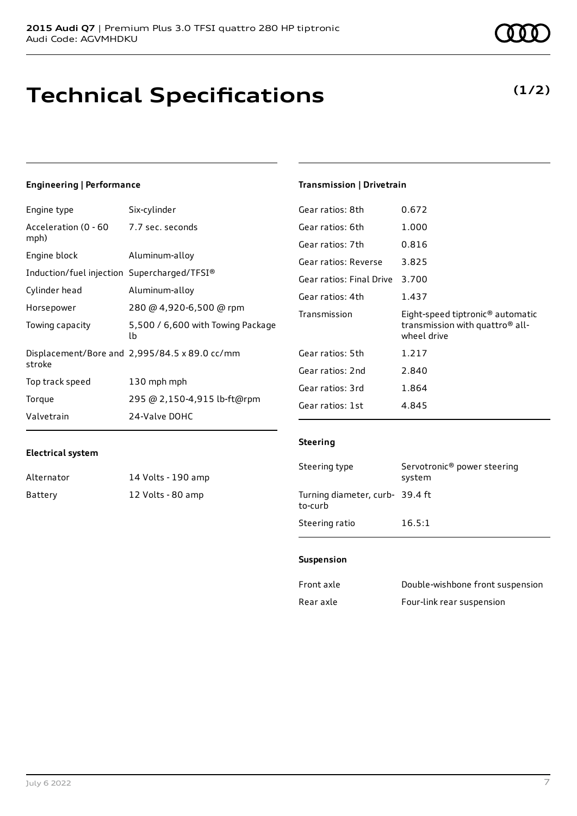### **Technical Specifications**

July 6 2022 7

### **Engineering | Performance**

Engine type Six-cylinder

| Acceleration (0 - 60 7.7 sec. seconds<br>mph) |                                               |
|-----------------------------------------------|-----------------------------------------------|
| Engine block                                  | Aluminum-alloy                                |
| Induction/fuel injection Supercharged/TFSI®   |                                               |
| Cylinder head                                 | Aluminum-alloy                                |
| Horsepower                                    | 280 @ 4,920-6,500 @ rpm                       |
| Towing capacity                               | 5,500 / 6,600 with Towing Package<br>lb       |
| stroke                                        | Displacement/Bore and 2,995/84.5 x 89.0 cc/mm |
| Top track speed                               | 130 mph mph                                   |
| Torque                                        | 295 @ 2,150-4,915 lb-ft@rpm                   |
| Valvetrain                                    | 24-Valve DOHC                                 |

#### **Transmission | Drivetrain**

| 0.672                                                                                                      |
|------------------------------------------------------------------------------------------------------------|
| 1.000                                                                                                      |
| 0.816                                                                                                      |
| 3.825                                                                                                      |
| 3.700                                                                                                      |
| 1.437                                                                                                      |
|                                                                                                            |
| Eight-speed tiptronic <sup>®</sup> automatic<br>transmission with quattro <sup>®</sup> all-<br>wheel drive |
| 1.217                                                                                                      |
| 2.840                                                                                                      |
| 1.864                                                                                                      |
|                                                                                                            |

#### **Electrical system**

| Alternator | 14 Volts - 190 amp |
|------------|--------------------|
| Battery    | 12 Volts - 80 amp  |

# **Steering**

| Steering type                             | Servotronic <sup>®</sup> power steering<br>system |
|-------------------------------------------|---------------------------------------------------|
| Turning diameter, curb-39.4 ft<br>to-curb |                                                   |
| Steering ratio                            | 16.5:1                                            |

#### **Suspension**

| Front axle | Double-wishbone front suspension |
|------------|----------------------------------|
| Rear axle  | Four-link rear suspension        |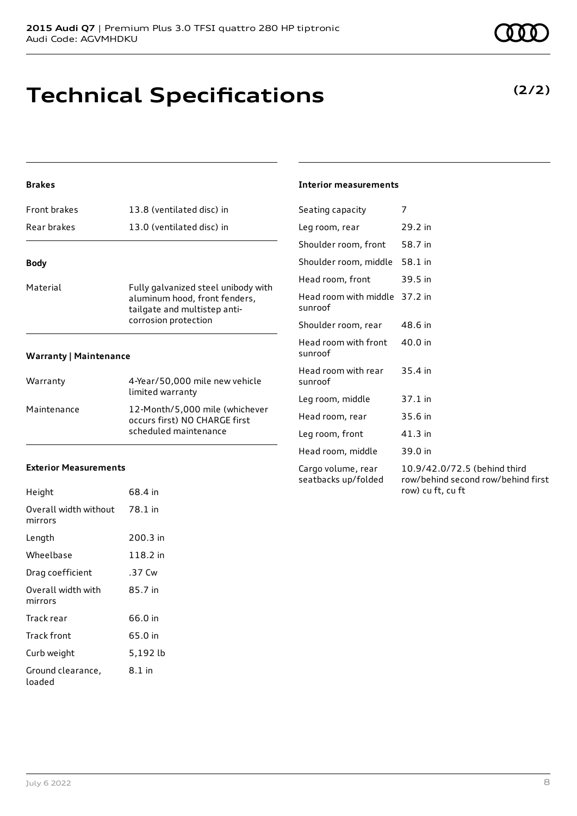## **Technical Specifications**

### **Brakes**

| <b>Front brakes</b>           | 13.8 (ventilated disc) in                                                                                                    |
|-------------------------------|------------------------------------------------------------------------------------------------------------------------------|
| Rear brakes                   | 13.0 (ventilated disc) in                                                                                                    |
| <b>Body</b>                   |                                                                                                                              |
| Material                      | Fully galvanized steel unibody with<br>aluminum hood, front fenders,<br>tailgate and multistep anti-<br>corrosion protection |
| <b>Warranty   Maintenance</b> |                                                                                                                              |

| Warranty    | 4-Year/50,000 mile new vehicle<br>limited warranty                                       |
|-------------|------------------------------------------------------------------------------------------|
| Maintenance | 12-Month/5,000 mile (whichever<br>occurs first) NO CHARGE first<br>scheduled maintenance |

#### **Exterior Measurements**

| Height                           | 68.4 in  |
|----------------------------------|----------|
| Overall width without<br>mirrors | 78.1 in  |
| Length                           | 200.3 in |
| Wheelbase                        | 118.2 in |
| Drag coefficient                 | .37 Cw   |
| Overall width with<br>mirrors    | 85.7 in  |
| Track rear                       | 66.0 in  |
| Track front                      | 65.0 in  |
| Curb weight                      | 5,192 lb |
| Ground clearance,<br>loaded      | $8.1$ in |

### **Interior measurements**

| Seating capacity                          | 7                                                                                       |
|-------------------------------------------|-----------------------------------------------------------------------------------------|
| Leg room, rear                            | 29.2 in                                                                                 |
| Shoulder room, front                      | 58.7 in                                                                                 |
| Shoulder room, middle                     | 58.1 in                                                                                 |
| Head room, front                          | 39.5 in                                                                                 |
| Head room with middle 37.2 in<br>sunroof  |                                                                                         |
| Shoulder room, rear                       | 48.6 in                                                                                 |
| Head room with front<br>sunroof           | 40.0 in                                                                                 |
| Head room with rear<br>sunroof            | 35.4 in                                                                                 |
| Leg room, middle                          | 37.1 in                                                                                 |
| Head room, rear                           | 35.6 in                                                                                 |
| Leg room, front                           | 41.3 in                                                                                 |
| Head room, middle                         | 39.0 in                                                                                 |
| Cargo volume, rear<br>seatbacks up/folded | 10.9/42.0/72.5 (behind third<br>row/behind second row/behind first<br>row) cu ft, cu ft |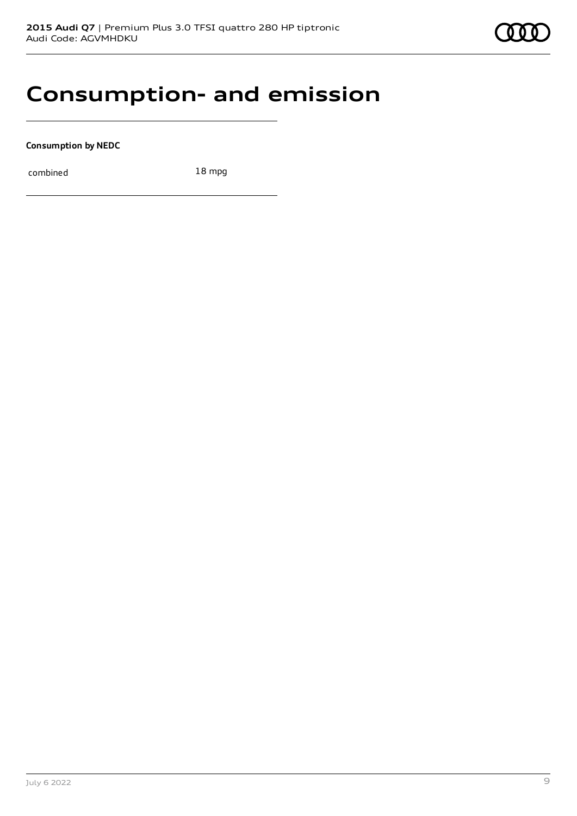

### **Consumption- and emission**

**Consumption by NEDC**

combined 18 mpg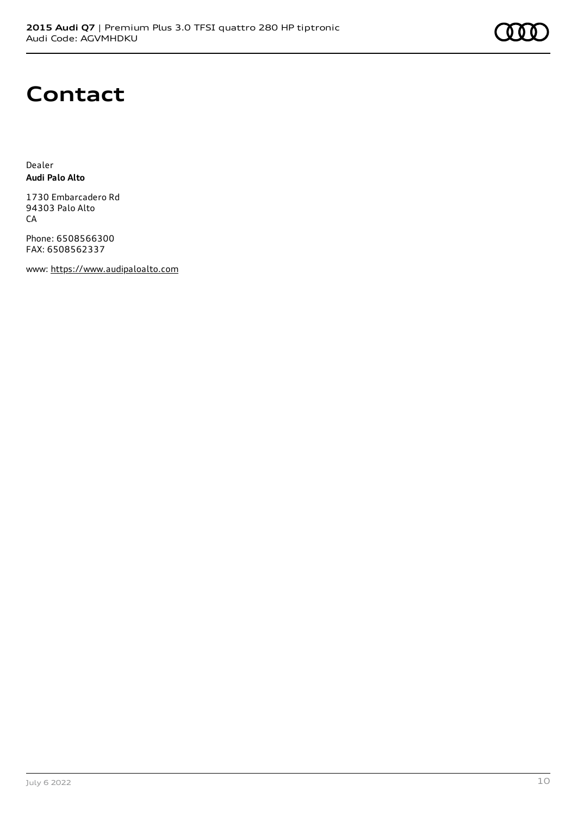### **Contact**

Dealer **Audi Palo Alto**

1730 Embarcadero Rd 94303 Palo Alto **CA** 

Phone: 6508566300 FAX: 6508562337

www: [https://www.audipaloalto.com](https://www.audipaloalto.com/)